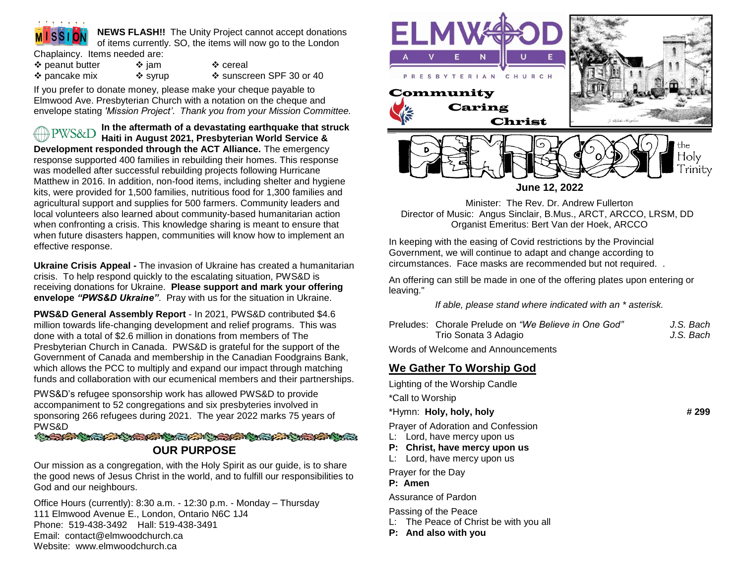

**NEWS FLASH!!** The Unity Project cannot accept donations of items currently. SO, the items will now go to the London

Chaplaincy. Items needed are:

❖ peanut butter  $\diamond$  jam  $\diamond$  cereal ❖ pancake mix  $\diamondsuit$  syrup  $\diamondsuit$  sunscreen SPF 30 or 40

If you prefer to donate money, please make your cheque payable to Elmwood Ave. Presbyterian Church with a notation on the cheque and envelope stating *'Mission Project'*. *Thank you from your Mission Committee.*

**In the aftermath of a devastating earthquake that struck PWS&D Haiti in August 2021, Presbyterian World Service & Development responded through the ACT Alliance.** The emergency response supported 400 families in rebuilding their homes. This response was modelled after successful rebuilding projects following Hurricane Matthew in 2016. In addition, non-food items, including shelter and hygiene kits, were provided for 1,500 families, nutritious food for 1,300 families and agricultural support and supplies for 500 farmers. Community leaders and local volunteers also learned about community-based humanitarian action when confronting a crisis. This knowledge sharing is meant to ensure that when future disasters happen, communities will know how to implement an effective response.

**Ukraine Crisis Appeal -** The invasion of Ukraine has created a humanitarian crisis. To help respond quickly to the escalating situation, PWS&D is receiving donations for Ukraine. **Please support and mark your offering envelope** *"PWS&D Ukraine"*. Pray with us for the situation in Ukraine.

**PWS&D General Assembly Report** - In 2021, PWS&D contributed \$4.6 million towards life-changing development and relief programs. This was done with a total of \$2.6 million in donations from members of The Presbyterian Church in Canada. PWS&D is grateful for the support of the Government of Canada and membership in the Canadian Foodgrains Bank, which allows the PCC to multiply and expand our impact through matching funds and collaboration with our ecumenical members and their partnerships.

PWS&D's refugee sponsorship work has allowed PWS&D to provide accompaniment to 52 congregations and six presbyteries involved in sponsoring 266 refugees during 2021. The year 2022 marks 75 years of PWS&D

STANDARD MARKET AND CONCRETE MARKET OF **OUR PURPOSE**

Our mission as a congregation, with the Holy Spirit as our guide, is to share the good news of Jesus Christ in the world, and to fulfill our responsibilities to God and our neighbours.

Office Hours (currently): 8:30 a.m. - 12:30 p.m. - Monday – Thursday 111 Elmwood Avenue E., London, Ontario N6C 1J4 Phone: 519-438-3492 Hall: 519-438-3491 Email: contact@elmwoodchurch.ca Website: www.elmwoodchurch.ca



**June 12, 2022**

Minister: The Rev. Dr. Andrew Fullerton Director of Music: Angus Sinclair, B.Mus., ARCT, ARCCO, LRSM, DD Organist Emeritus: Bert Van der Hoek, ARCCO

In keeping with the easing of Covid restrictions by the Provincial Government, we will continue to adapt and change according to circumstances. Face masks are recommended but not required. .

An offering can still be made in one of the offering plates upon entering or leaving."

*If able, please stand where indicated with an \* asterisk.*

| Preludes: Chorale Prelude on "We Believe in One God" | J.S. Bach |
|------------------------------------------------------|-----------|
| Trio Sonata 3 Adagio                                 | J.S. Bach |
| Marde of Walcome and Announcements                   |           |

Words of Welcome and Announcements

# **We Gather To Worship God**

Lighting of the Worship Candle

\*Call to Worship

## \*Hymn: **Holy, holy, holy # 299**

Prayer of Adoration and Confession

- L: Lord, have mercy upon us
- **P: Christ, have mercy upon us**
- L: Lord, have mercy upon us

Prayer for the Day

**P: Amen**

Assurance of Pardon

Passing of the Peace

- L: The Peace of Christ be with you all
- **P: And also with you**